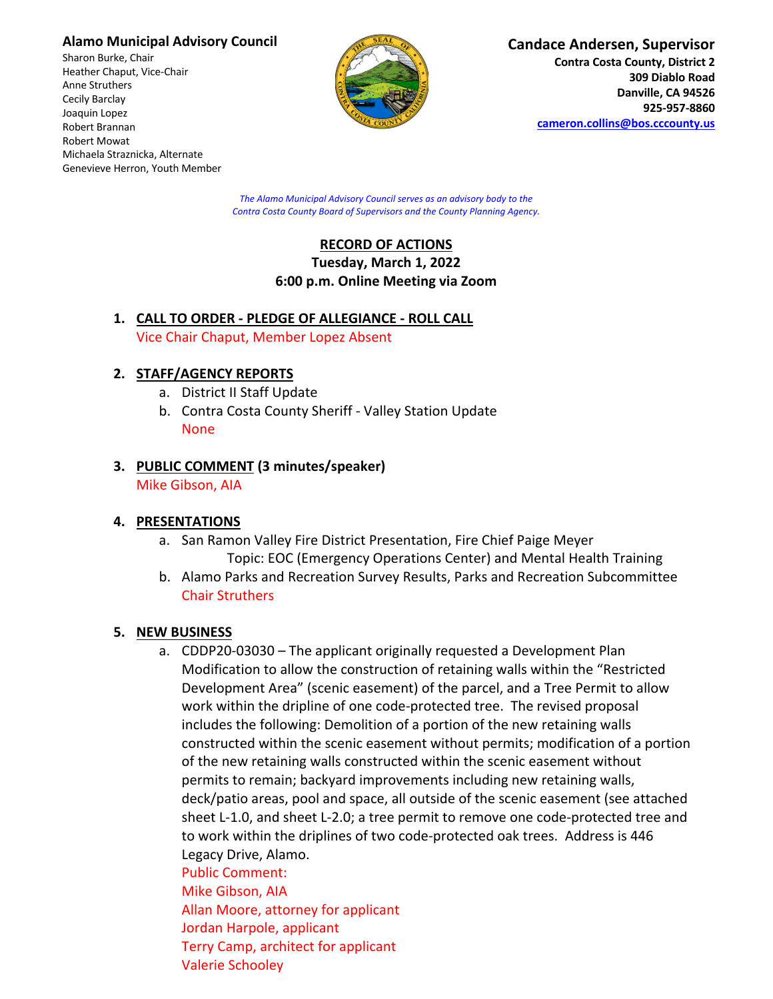### **Alamo Municipal Advisory Council**

Sharon Burke, Chair Heather Chaput, Vice-Chair Anne Struthers Cecily Barclay Joaquin Lopez Robert Brannan Robert Mowat Michaela Straznicka, Alternate Genevieve Herron, Youth Member



#### **Candace Andersen, Supervisor**

**Contra Costa County, District 2 309 Diablo Road Danville, CA 94526 925-957-8860 cameron.collins@bos.cccounty.us**

*The Alamo Municipal Advisory Council serves as an advisory body to the Contra Costa County Board of Supervisors and the County Planning Agency.*

# **RECORD OF ACTIONS Tuesday, March 1, 2022 6:00 p.m. Online Meeting via Zoom**

## **1. CALL TO ORDER - PLEDGE OF ALLEGIANCE - ROLL CALL** Vice Chair Chaput, Member Lopez Absent

# **2. STAFF/AGENCY REPORTS**

- a. District II Staff Update
- b. Contra Costa County Sheriff Valley Station Update None

#### **3. PUBLIC COMMENT (3 minutes/speaker)** Mike Gibson, AIA

# **4. PRESENTATIONS**

- a. San Ramon Valley Fire District Presentation, Fire Chief Paige Meyer Topic: EOC (Emergency Operations Center) and Mental Health Training
- b. Alamo Parks and Recreation Survey Results, Parks and Recreation Subcommittee Chair Struthers

# **5. NEW BUSINESS**

a. CDDP20-03030 – The applicant originally requested a Development Plan Modification to allow the construction of retaining walls within the "Restricted Development Area" (scenic easement) of the parcel, and a Tree Permit to allow work within the dripline of one code-protected tree. The revised proposal includes the following: Demolition of a portion of the new retaining walls constructed within the scenic easement without permits; modification of a portion of the new retaining walls constructed within the scenic easement without permits to remain; backyard improvements including new retaining walls, deck/patio areas, pool and space, all outside of the scenic easement (see attached sheet L-1.0, and sheet L-2.0; a tree permit to remove one code-protected tree and to work within the driplines of two code-protected oak trees. Address is 446 Legacy Drive, Alamo.

Public Comment: Mike Gibson, AIA Allan Moore, attorney for applicant Jordan Harpole, applicant Terry Camp, architect for applicant Valerie Schooley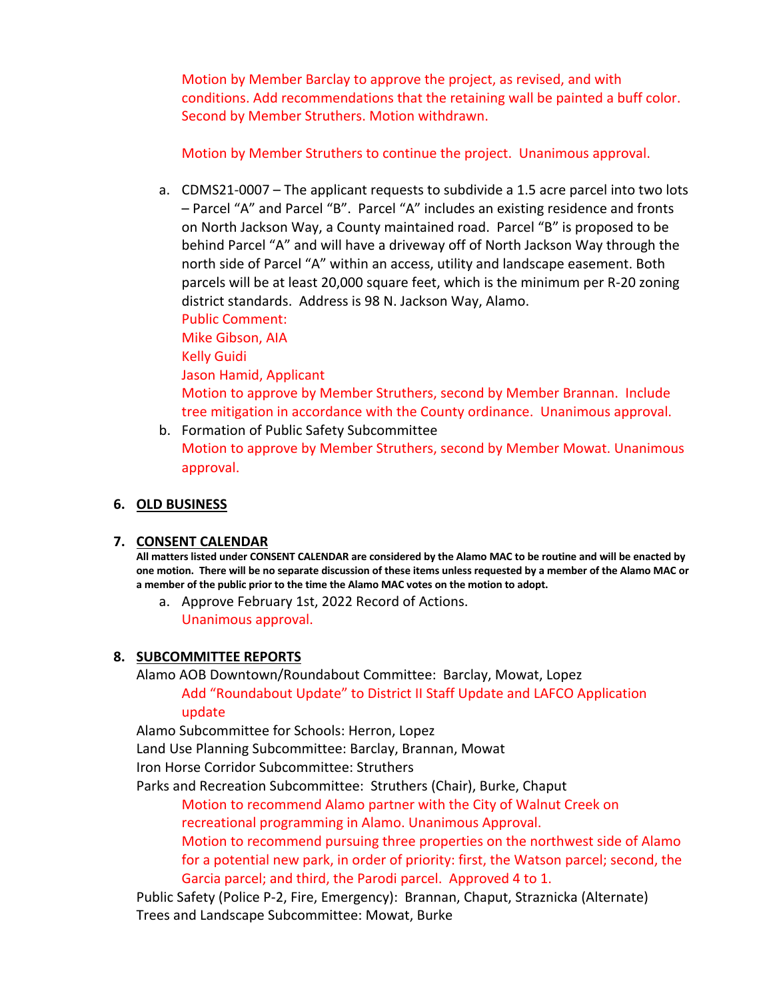Motion by Member Barclay to approve the project, as revised, and with conditions. Add recommendations that the retaining wall be painted a buff color. Second by Member Struthers. Motion withdrawn.

Motion by Member Struthers to continue the project. Unanimous approval.

a. CDMS21-0007 – The applicant requests to subdivide a 1.5 acre parcel into two lots – Parcel "A" and Parcel "B". Parcel "A" includes an existing residence and fronts on North Jackson Way, a County maintained road. Parcel "B" is proposed to be behind Parcel "A" and will have a driveway off of North Jackson Way through the north side of Parcel "A" within an access, utility and landscape easement. Both parcels will be at least 20,000 square feet, which is the minimum per R-20 zoning district standards. Address is 98 N. Jackson Way, Alamo.

Public Comment: Mike Gibson, AIA Kelly Guidi Jason Hamid, Applicant Motion to approve by Member Struthers, second by Member Brannan. Include tree mitigation in accordance with the County ordinance. Unanimous approval.

b. Formation of Public Safety Subcommittee Motion to approve by Member Struthers, second by Member Mowat. Unanimous approval.

### **6. OLD BUSINESS**

### **7. CONSENT CALENDAR**

**All matters listed under CONSENT CALENDAR are considered by the Alamo MAC to be routine and will be enacted by one motion. There will be no separate discussion of these items unless requested by a member of the Alamo MAC or a member of the public prior to the time the Alamo MAC votes on the motion to adopt.**

a. Approve February 1st, 2022 Record of Actions. Unanimous approval.

### **8. SUBCOMMITTEE REPORTS**

Alamo AOB Downtown/Roundabout Committee: Barclay, Mowat, Lopez

Add "Roundabout Update" to District II Staff Update and LAFCO Application update

Alamo Subcommittee for Schools: Herron, Lopez

Land Use Planning Subcommittee: Barclay, Brannan, Mowat

Iron Horse Corridor Subcommittee: Struthers

Parks and Recreation Subcommittee: Struthers (Chair), Burke, Chaput

Motion to recommend Alamo partner with the City of Walnut Creek on recreational programming in Alamo. Unanimous Approval.

Motion to recommend pursuing three properties on the northwest side of Alamo for a potential new park, in order of priority: first, the Watson parcel; second, the Garcia parcel; and third, the Parodi parcel. Approved 4 to 1.

Public Safety (Police P-2, Fire, Emergency): Brannan, Chaput, Straznicka (Alternate) Trees and Landscape Subcommittee: Mowat, Burke